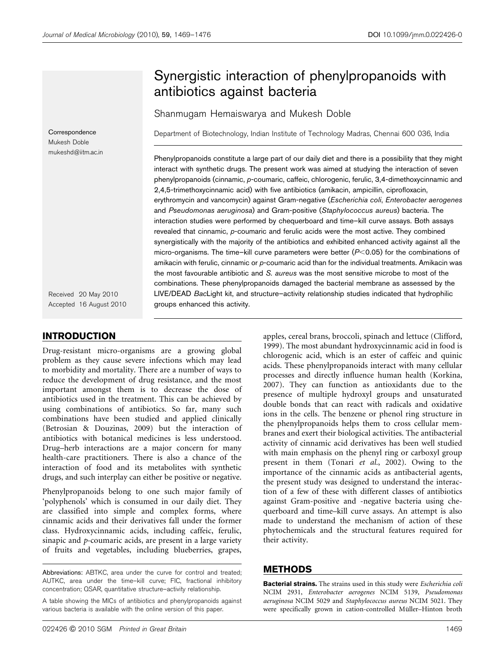# Synergistic interaction of phenylpropanoids with antibiotics against bacteria

Shanmugam Hemaiswarya and Mukesh Doble

Department of Biotechnology, Indian Institute of Technology Madras, Chennai 600 036, India

Phenylpropanoids constitute a large part of our daily diet and there is a possibility that they might interact with synthetic drugs. The present work was aimed at studying the interaction of seven phenylpropanoids (cinnamic, p-coumaric, caffeic, chlorogenic, ferulic, 3,4-dimethoxycinnamic and 2,4,5-trimethoxycinnamic acid) with five antibiotics (amikacin, ampicillin, ciprofloxacin, erythromycin and vancomycin) against Gram-negative (Escherichia coli, Enterobacter aerogenes and Pseudomonas aeruginosa) and Gram-positive (Staphylococcus aureus) bacteria. The interaction studies were performed by chequerboard and time–kill curve assays. Both assays revealed that cinnamic, p-coumaric and ferulic acids were the most active. They combined synergistically with the majority of the antibiotics and exhibited enhanced activity against all the micro-organisms. The time–kill curve parameters were better ( $P<0.05$ ) for the combinations of amikacin with ferulic, cinnamic or p-coumaric acid than for the individual treatments. Amikacin was the most favourable antibiotic and S. aureus was the most sensitive microbe to most of the combinations. These phenylpropanoids damaged the bacterial membrane as assessed by the LIVE/DEAD BacLight kit, and structure–activity relationship studies indicated that hydrophilic groups enhanced this activity.

Received 20 May 2010 Accepted 16 August 2010

# INTRODUCTION

**Correspondence** Mukesh Doble mukeshd@iitm.ac.in

Drug-resistant micro-organisms are a growing global problem as they cause severe infections which may lead to morbidity and mortality. There are a number of ways to reduce the development of drug resistance, and the most important amongst them is to decrease the dose of antibiotics used in the treatment. This can be achieved by using combinations of antibiotics. So far, many such combinations have been studied and applied clinically ([Betrosian & Douzinas, 2009](#page-6-0)) but the interaction of antibiotics with botanical medicines is less understood. Drug–herb interactions are a major concern for many health-care practitioners. There is also a chance of the interaction of food and its metabolites with synthetic drugs, and such interplay can either be positive or negative.

Phenylpropanoids belong to one such major family of 'polyphenols' which is consumed in our daily diet. They are classified into simple and complex forms, where cinnamic acids and their derivatives fall under the former class. Hydroxycinnamic acids, including caffeic, ferulic, sinapic and *p*-coumaric acids, are present in a large variety of fruits and vegetables, including blueberries, grapes,

apples, cereal brans, broccoli, spinach and lettuce ([Clifford,](#page-6-0) [1999\)](#page-6-0). The most abundant hydroxycinnamic acid in food is chlorogenic acid, which is an ester of caffeic and quinic acids. These phenylpropanoids interact with many cellular processes and directly influence human health ([Korkina,](#page-6-0) [2007\)](#page-6-0). They can function as antioxidants due to the presence of multiple hydroxyl groups and unsaturated double bonds that can react with radicals and oxidative ions in the cells. The benzene or phenol ring structure in the phenylpropanoids helps them to cross cellular membranes and exert their biological activities. The antibacterial activity of cinnamic acid derivatives has been well studied with main emphasis on the phenyl ring or carboxyl group present in them (Tonari et al.[, 2002\)](#page-7-0). Owing to the importance of the cinnamic acids as antibacterial agents, the present study was designed to understand the interaction of a few of these with different classes of antibiotics against Gram-positive and -negative bacteria using chequerboard and time–kill curve assays. An attempt is also made to understand the mechanism of action of these phytochemicals and the structural features required for their activity.

# METHODS

Bacterial strains. The strains used in this study were Escherichia coli NCIM 2931, Enterobacter aerogenes NCIM 5139, Pseudomonas aeruginosa NCIM 5029 and Staphylococcus aureus NCIM 5021. They were specifically grown in cation-controlled Müller-Hinton broth

Abbreviations: ABTKC, area under the curve for control and treated; AUTKC, area under the time–kill curve; FIC, fractional inhibitory concentration; QSAR, quantitative structure–activity relationship.

A table showing the MICs of antibiotics and phenylpropanoids against various bacteria is available with the online version of this paper.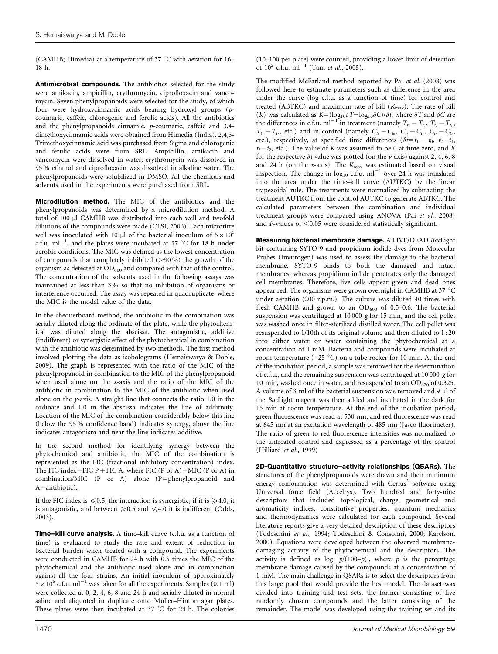(CAMHB; Himedia) at a temperature of 37  $^{\circ}$ C with aeration for 16– 18 h.

Antimicrobial compounds. The antibiotics selected for the study were amikacin, ampicillin, erythromycin, ciprofloxacin and vancomycin. Seven phenylpropanoids were selected for the study, of which four were hydroxycinnamic acids bearing hydroxyl groups (pcoumaric, caffeic, chlorogenic and ferulic acids). All the antibiotics and the phenylpropanoids cinnamic, p-coumaric, caffeic and 3,4 dimethoxycinnamic acids were obtained from Himedia (India). 2,4,5- Trimethoxycinnamic acid was purchased from Sigma and chlorogenic and ferulic acids were from SRL. Ampicillin, amikacin and vancomycin were dissolved in water, erythromycin was dissolved in 95 % ethanol and ciprofloxacin was dissolved in alkaline water. The phenylpropanoids were solubilized in DMSO. All the chemicals and solvents used in the experiments were purchased from SRL.

Microdilution method. The MIC of the antibiotics and the phenylpropanoids was determined by a microdilution method. A total of 100 µl CAMHB was distributed into each well and twofold dilutions of the compounds were made [\(CLSI, 2006\)](#page-6-0). Each microtitre well was inoculated with 10  $\mu$ l of the bacterial inoculum of  $5 \times 10^5$ c.f.u.  $ml^{-1}$ , and the plates were incubated at 37 °C for 18 h under aerobic conditions. The MIC was defined as the lowest concentration of compounds that completely inhibited  $(>90\%)$  the growth of the organism as detected at  $OD_{600}$  and compared with that of the control. The concentration of the solvents used in the following assays was maintained at less than 3 % so that no inhibition of organisms or interference occurred. The assay was repeated in quadruplicate, where the MIC is the modal value of the data.

In the chequerboard method, the antibiotic in the combination was serially diluted along the ordinate of the plate, while the phytochemical was diluted along the abscissa. The antagonistic, additive (indifferent) or synergistic effect of the phytochemical in combination with the antibiotic was determined by two methods. The first method involved plotting the data as isobolograms [\(Hemaiswarya & Doble,](#page-6-0) [2009\)](#page-6-0). The graph is represented with the ratio of the MIC of the phenylpropanoid in combination to the MIC of the phenylpropanoid when used alone on the x-axis and the ratio of the MIC of the antibiotic in combination to the MIC of the antibiotic when used alone on the y-axis. A straight line that connects the ratio 1.0 in the ordinate and 1.0 in the abscissa indicates the line of additivity. Location of the MIC of the combination considerably below this line (below the 95 % confidence band) indicates synergy, above the line indicates antagonism and near the line indicates additive.

In the second method for identifying synergy between the phytochemical and antibiotic, the MIC of the combination is represented as the FIC (fractional inhibitory concentration) index. The FIC index=FIC P + FIC A, where FIC (P or A) = MIC (P or A) in  $combination/MIC$  (P or A) alone (P=phenylpropanoid and  $A=$ antibiotic).

If the FIC index is  $\leq 0.5$ , the interaction is synergistic, if it is  $\geq 4.0$ , it is antagonistic, and between  $\geq 0.5$  and  $\leq 4.0$  it is indifferent [\(Odds,](#page-7-0) [2003\)](#page-7-0).

Time–kill curve analysis. A time–kill curve (c.f.u. as a function of time) is evaluated to study the rate and extent of reduction in bacterial burden when treated with a compound. The experiments were conducted in CAMHB for 24 h with 0.5 times the MIC of the phytochemical and the antibiotic used alone and in combination against all the four strains. An initial inoculum of approximately  $5 \times 10^5$  c.f.u. ml<sup>-1</sup> was taken for all the experiments. Samples (0.1 ml) were collected at 0, 2, 4, 6, 8 and 24 h and serially diluted in normal saline and aliquoted in duplicate onto Müller-Hinton agar plates. These plates were then incubated at 37  $\degree$ C for 24 h. The colonies (10–100 per plate) were counted, providing a lower limit of detection of  $10^2$  c.f.u. ml<sup>-1</sup> (Tam *et al.*[, 2005\)](#page-7-0).

The modified McFarland method reported by Pai et al. [\(2008\)](#page-7-0) was followed here to estimate parameters such as difference in the area under the curve (log c.f.u. as a function of time) for control and treated (ABTKC) and maximum rate of kill  $(K_{\text{max}})$ . The rate of kill (K) was calculated as  $K = \left(\log_{10} \delta T - \log_{10} \delta C\right)/\delta t$ , where  $\delta T$  and  $\delta C$  are the differences in c.f.u. ml<sup>-1</sup> in treatment (namely  $T_{t_1} - T_{t_0}$ ,  $T_{t_2} - T_{t_1}$ ,  $T_{t_3} - T_{t_2}$ , etc.) and in control (namely  $C_{t_1} - C_{t_0}$ ,  $C_{t_2} - C_{t_1}$ ,  $C_{t_3} - C_{t_2}$ , etc.), respectively, at specified time differences ( $\delta t=t_1-t_0$ ,  $t_2-t_1$ ,  $t_3$  –  $t_2$ , etc.). The value of K was assumed to be 0 at time zero, and K for the respective  $\delta t$  value was plotted (on the y-axis) against 2, 4, 6, 8 and 24 h (on the x-axis). The  $K_{\text{max}}$  was estimated based on visual inspection. The change in  $log_{10}$  c.f.u.  $ml^{-1}$  over 24 h was translated into the area under the time–kill curve (AUTKC) by the linear trapezoidal rule. The treatments were normalized by subtracting the treatment AUTKC from the control AUTKC to generate ABTKC. The calculated parameters between the combination and individual treatment groups were compared using ANOVA (Pai et al.[, 2008](#page-7-0)) and P-values of  $< 0.05$  were considered statistically significant.

Measuring bacterial membrane damage. A LIVE/DEAD BacLight kit containing SYTO-9 and propidium iodide dyes from Molecular Probes (Invitrogen) was used to assess the damage to the bacterial membrane. SYTO-9 binds to both the damaged and intact membranes, whereas propidium iodide penetrates only the damaged cell membranes. Therefore, live cells appear green and dead ones appear red. The organisms were grown overnight in CAMHB at 37  $^{\circ}$ C under aeration (200 r.p.m.). The culture was diluted 40 times with fresh CAMHB and grown to an  $OD<sub>600</sub>$  of 0.5–0.6. The bacterial suspension was centrifuged at 10 000 g for 15 min, and the cell pellet was washed once in filter-sterilized distilled water. The cell pellet was resuspended to 1/10th of its original volume and then diluted to 1 : 20 into either water or water containing the phytochemical at a concentration of 1 mM. Bacteria and compounds were incubated at room temperature ( $\sim$ 25 °C) on a tube rocker for 10 min. At the end of the incubation period, a sample was removed for the determination of c.f.u., and the remaining suspension was centrifuged at 10 000  $\boldsymbol{g}$  for 10 min, washed once in water, and resuspended to an  $OD_{670}$  of 0.325. A volume of 3 ml of the bacterial suspension was removed and 9  $\mu$ l of the BacLight reagent was then added and incubated in the dark for 15 min at room temperature. At the end of the incubation period, green fluorescence was read at 530 nm, and red fluorescence was read at 645 nm at an excitation wavelength of 485 nm (Jasco fluorimeter). The ratio of green to red fluorescence intensities was normalized to the untreated control and expressed as a percentage of the control ([Hilliard](#page-6-0) et al., 1999)

2D-Quantitative structure–activity relationships (QSARs). The structures of the phenylpropanoids were drawn and their minimum energy conformation was determined with Cerius<sup>2</sup> software using Universal force field (Accelrys). Two hundred and forty-nine descriptors that included topological, charge, geometrical and aromaticity indices, constitutive properties, quantum mechanics and thermodynamics were calculated for each compound. Several literature reports give a very detailed description of these descriptors ([Todeschini](#page-7-0) et al., 1994; [Todeschini & Consonni, 2000](#page-7-0); [Karelson,](#page-6-0) [2000\)](#page-6-0). Equations were developed between the observed membranedamaging activity of the phytochemical and the descriptors. The activity is defined as log  $[p/(100-p)]$ , where p is the percentage membrane damage caused by the compounds at a concentration of 1 mM. The main challenge in QSARs is to select the descriptors from this large pool that would provide the best model. The dataset was divided into training and test sets, the former consisting of five randomly chosen compounds and the latter consisting of the remainder. The model was developed using the training set and its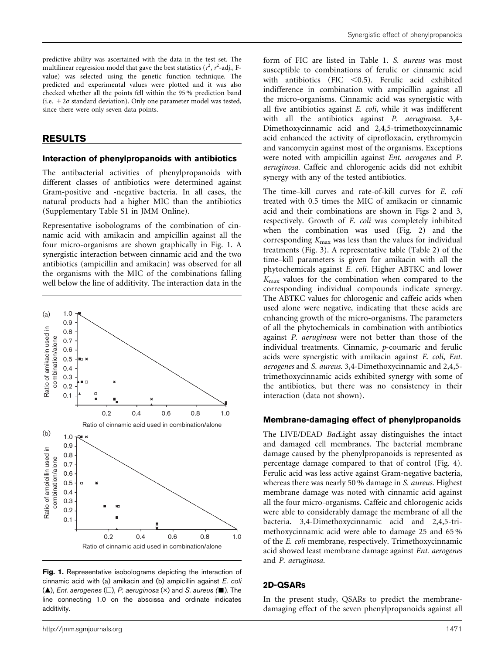predictive ability was ascertained with the data in the test set. The multilinear regression model that gave the best statistics ( $r^2$ ,  $r^2$ -adj., Fvalue) was selected using the genetic function technique. The predicted and experimental values were plotted and it was also checked whether all the points fell within the 95 % prediction band (i.e.  $\pm 2\sigma$  standard deviation). Only one parameter model was tested, since there were only seven data points.

### RESULTS

#### Interaction of phenylpropanoids with antibiotics

The antibacterial activities of phenylpropanoids with different classes of antibiotics were determined against Gram-positive and -negative bacteria. In all cases, the natural products had a higher MIC than the antibiotics (Supplementary Table S1 in JMM Online).

Representative isobolograms of the combination of cinnamic acid with amikacin and ampicillin against all the four micro-organisms are shown graphically in Fig. 1. A synergistic interaction between cinnamic acid and the two antibiotics (ampicillin and amikacin) was observed for all the organisms with the MIC of the combinations falling well below the line of additivity. The interaction data in the



Fig. 1. Representative isobolograms depicting the interaction of cinnamic acid with (a) amikacin and (b) ampicillin against E. coli  $(**A**)$ , *Ent. aerogenes* ( $\square$ ), *P. aeruginosa* ( $\times$ ) and *S. aureus* (**). The** line connecting 1.0 on the abscissa and ordinate indicates additivity.

form of FIC are listed in [Table 1](#page-3-0). S. aureus was most susceptible to combinations of ferulic or cinnamic acid with antibiotics (FIC  $<$  0.5). Ferulic acid exhibited indifference in combination with ampicillin against all the micro-organisms. Cinnamic acid was synergistic with all five antibiotics against E. coli, while it was indifferent with all the antibiotics against P. aeruginosa. 3,4- Dimethoxycinnamic acid and 2,4,5-trimethoxycinnamic acid enhanced the activity of ciprofloxacin, erythromycin and vancomycin against most of the organisms. Exceptions were noted with ampicillin against Ent. aerogenes and P. aeruginosa. Caffeic and chlorogenic acids did not exhibit synergy with any of the tested antibiotics.

The time–kill curves and rate-of-kill curves for E. coli treated with 0.5 times the MIC of amikacin or cinnamic acid and their combinations are shown in [Figs 2](#page-3-0) and [3,](#page-3-0) respectively. Growth of E. coli was completely inhibited when the combination was used ([Fig. 2](#page-3-0)) and the corresponding  $K_{\text{max}}$  was less than the values for individual treatments ([Fig. 3](#page-3-0)). A representative table ([Table 2](#page-4-0)) of the time–kill parameters is given for amikacin with all the phytochemicals against E. coli. Higher ABTKC and lower  $K_{\text{max}}$  values for the combination when compared to the corresponding individual compounds indicate synergy. The ABTKC values for chlorogenic and caffeic acids when used alone were negative, indicating that these acids are enhancing growth of the micro-organisms. The parameters of all the phytochemicals in combination with antibiotics against P. aeruginosa were not better than those of the individual treatments. Cinnamic, p-coumaric and ferulic acids were synergistic with amikacin against E. coli, Ent. aerogenes and S. aureus. 3,4-Dimethoxycinnamic and 2,4,5 trimethoxycinnamic acids exhibited synergy with some of the antibiotics, but there was no consistency in their interaction (data not shown).

#### Membrane-damaging effect of phenylpropanoids

The LIVE/DEAD BacLight assay distinguishes the intact and damaged cell membranes. The bacterial membrane damage caused by the phenylpropanoids is represented as percentage damage compared to that of control [\(Fig. 4\)](#page-4-0). Ferulic acid was less active against Gram-negative bacteria, whereas there was nearly 50 % damage in S. aureus. Highest membrane damage was noted with cinnamic acid against all the four micro-organisms. Caffeic and chlorogenic acids were able to considerably damage the membrane of all the bacteria. 3,4-Dimethoxycinnamic acid and 2,4,5-trimethoxycinnamic acid were able to damage 25 and 65 % of the E. coli membrane, respectively. Trimethoxycinnamic acid showed least membrane damage against Ent. aerogenes and P. aeruginosa.

#### 2D-QSARs

In the present study, QSARs to predict the membranedamaging effect of the seven phenylpropanoids against all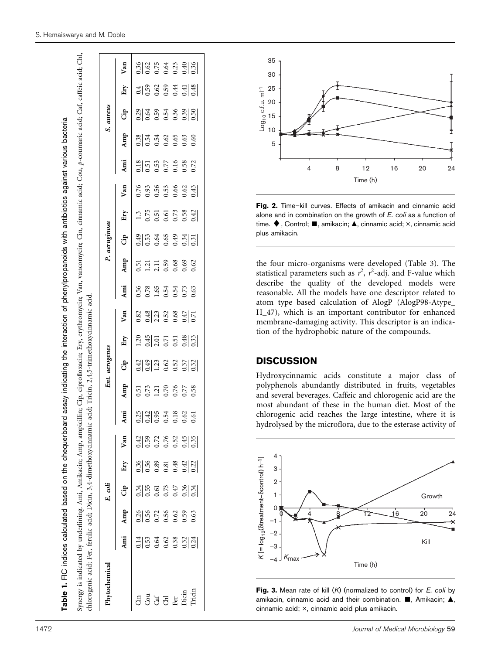| Phytochemical |                                                                                                                                                           |                                                                                                       | E. coli                                                                                          |                                                                                                                                                           |                                                                                                                 |                                                                                                                                 |                                            | Ent. aerogenes                                                                                                                |                                                                                                                 |                                                                                                                 |                                    |           | P. aeruginosa                                                                                                                               |                                                                                                                                                                                                                     |            |                                                                                                                                                                                                                                                                  |                                                                                                                                             | S. aureus                                                            |                                                                                                          |                                                                                                   |
|---------------|-----------------------------------------------------------------------------------------------------------------------------------------------------------|-------------------------------------------------------------------------------------------------------|--------------------------------------------------------------------------------------------------|-----------------------------------------------------------------------------------------------------------------------------------------------------------|-----------------------------------------------------------------------------------------------------------------|---------------------------------------------------------------------------------------------------------------------------------|--------------------------------------------|-------------------------------------------------------------------------------------------------------------------------------|-----------------------------------------------------------------------------------------------------------------|-----------------------------------------------------------------------------------------------------------------|------------------------------------|-----------|---------------------------------------------------------------------------------------------------------------------------------------------|---------------------------------------------------------------------------------------------------------------------------------------------------------------------------------------------------------------------|------------|------------------------------------------------------------------------------------------------------------------------------------------------------------------------------------------------------------------------------------------------------------------|---------------------------------------------------------------------------------------------------------------------------------------------|----------------------------------------------------------------------|----------------------------------------------------------------------------------------------------------|---------------------------------------------------------------------------------------------------|
|               | Ami                                                                                                                                                       |                                                                                                       | Amp Cip                                                                                          | Ery                                                                                                                                                       | Van                                                                                                             | Ami                                                                                                                             | Amp                                        | ਹੈਂ                                                                                                                           | Ery                                                                                                             | Van                                                                                                             | Ami                                | Amp       | Ġ                                                                                                                                           | Ery                                                                                                                                                                                                                 | Van        | Ami                                                                                                                                                                                                                                                              | Amp                                                                                                                                         | Ġ                                                                    | Ery                                                                                                      | Van                                                                                               |
|               |                                                                                                                                                           |                                                                                                       |                                                                                                  |                                                                                                                                                           |                                                                                                                 |                                                                                                                                 |                                            |                                                                                                                               |                                                                                                                 |                                                                                                                 |                                    |           |                                                                                                                                             |                                                                                                                                                                                                                     |            |                                                                                                                                                                                                                                                                  |                                                                                                                                             |                                                                      |                                                                                                          |                                                                                                   |
|               |                                                                                                                                                           |                                                                                                       |                                                                                                  |                                                                                                                                                           |                                                                                                                 |                                                                                                                                 |                                            |                                                                                                                               |                                                                                                                 |                                                                                                                 |                                    |           |                                                                                                                                             |                                                                                                                                                                                                                     |            |                                                                                                                                                                                                                                                                  |                                                                                                                                             |                                                                      |                                                                                                          |                                                                                                   |
|               |                                                                                                                                                           |                                                                                                       |                                                                                                  |                                                                                                                                                           |                                                                                                                 |                                                                                                                                 |                                            |                                                                                                                               |                                                                                                                 |                                                                                                                 |                                    |           |                                                                                                                                             |                                                                                                                                                                                                                     |            |                                                                                                                                                                                                                                                                  |                                                                                                                                             |                                                                      |                                                                                                          |                                                                                                   |
|               |                                                                                                                                                           |                                                                                                       |                                                                                                  |                                                                                                                                                           |                                                                                                                 |                                                                                                                                 |                                            |                                                                                                                               |                                                                                                                 |                                                                                                                 |                                    |           |                                                                                                                                             |                                                                                                                                                                                                                     |            |                                                                                                                                                                                                                                                                  |                                                                                                                                             |                                                                      |                                                                                                          |                                                                                                   |
|               |                                                                                                                                                           |                                                                                                       |                                                                                                  |                                                                                                                                                           |                                                                                                                 |                                                                                                                                 |                                            |                                                                                                                               |                                                                                                                 |                                                                                                                 |                                    |           |                                                                                                                                             |                                                                                                                                                                                                                     |            |                                                                                                                                                                                                                                                                  |                                                                                                                                             |                                                                      |                                                                                                          |                                                                                                   |
|               | $\frac{1}{2}$ $\frac{1}{3}$ $\frac{3}{5}$ $\frac{4}{5}$ $\frac{3}{5}$ $\frac{3}{5}$ $\frac{3}{5}$ $\frac{3}{5}$ $\frac{3}{5}$ $\frac{3}{5}$ $\frac{3}{5}$ | $\frac{88}{100}$ $\frac{87}{100}$ $\frac{86}{100}$ $\frac{83}{100}$ $\frac{83}{100}$ $\frac{83}{100}$ | $\frac{315}{315}$ $\frac{5}{31}$ $\frac{31}{31}$ $\frac{31}{31}$ $\frac{31}{31}$ $\frac{31}{31}$ | $\frac{8}{3}$ $\frac{8}{3}$ $\frac{8}{3}$ $\frac{8}{3}$ $\frac{8}{3}$ $\frac{8}{3}$ $\frac{8}{3}$ $\frac{8}{3}$ $\frac{8}{3}$ $\frac{8}{3}$ $\frac{8}{3}$ | $\frac{4}{3}$ $\frac{8}{5}$ $\frac{8}{5}$ $\frac{8}{5}$ $\frac{8}{5}$ $\frac{4}{3}$ $\frac{8}{3}$ $\frac{8}{3}$ | $\frac{29}{3}$ $\frac{49}{3}$ $\frac{8}{5}$ $\frac{3}{5}$ $\frac{8}{3}$ $\frac{8}{3}$ $\frac{8}{3}$ $\frac{6}{3}$ $\frac{3}{6}$ | 51<br>0.73<br>1.71<br>0.76<br>0.58<br>0.58 | $\frac{1}{2}$ $\frac{1}{2}$ $\frac{3}{2}$ $\frac{3}{2}$ $\frac{3}{2}$ $\frac{3}{2}$ $\frac{3}{2}$ $\frac{3}{2}$ $\frac{3}{2}$ | $\frac{13}{13}$ $\frac{49}{15}$ $\frac{17}{15}$ $\frac{17}{15}$ $\frac{49}{15}$ $\frac{89}{15}$ $\frac{89}{15}$ | $\frac{22}{30}$ $\frac{40}{30}$ $\frac{22}{30}$ $\frac{22}{30}$ $\frac{22}{30}$ $\frac{22}{30}$ $\frac{22}{30}$ | 56<br>0.78<br>0.54<br>0.73<br>0.63 | 511188888 | $\frac{9}{3}$ $\frac{3}{5}$ $\frac{3}{5}$ $\frac{4}{5}$ $\frac{6}{5}$ $\frac{9}{5}$ $\frac{3}{5}$ $\frac{4}{5}$ $\frac{1}{2}$ $\frac{1}{2}$ | $\frac{13}{15}$ $\frac{5}{15}$ $\frac{5}{15}$ $\frac{13}{15}$ $\frac{3}{15}$ $\frac{3}{15}$ $\frac{3}{15}$ $\frac{3}{15}$ $\frac{3}{15}$ $\frac{3}{15}$ $\frac{3}{15}$ $\frac{3}{15}$ $\frac{3}{15}$ $\frac{4}{15}$ | 0.93666624 | $\frac{81}{151}$ $\frac{8}{15}$ $\frac{5}{15}$ $\frac{5}{15}$ $\frac{2}{15}$ $\frac{6}{15}$ $\frac{2}{15}$ $\frac{6}{15}$ $\frac{2}{15}$ $\frac{2}{15}$ $\frac{2}{15}$ $\frac{2}{15}$ $\frac{2}{15}$ $\frac{2}{15}$ $\frac{2}{15}$ $\frac{2}{15}$ $\frac{2}{15}$ | $\frac{8}{3}$ $\frac{8}{3}$ $\frac{4}{5}$ $\frac{4}{5}$ $\frac{6}{5}$ $\frac{6}{5}$ $\frac{6}{5}$ $\frac{6}{5}$ $\frac{6}{5}$ $\frac{6}{5}$ | $\frac{215}{215}$ $\frac{35}{215}$ $\frac{31}{215}$ $\frac{31}{215}$ | $\frac{18}{3}$ $\frac{18}{3}$ $\frac{36}{3}$ $\frac{38}{3}$ $\frac{41}{3}$ $\frac{41}{3}$ $\frac{41}{3}$ | $\frac{8}{3}$ $\frac{8}{3}$ $\frac{8}{3}$ $\frac{8}{3}$ $\frac{8}{3}$ $\frac{8}{3}$ $\frac{8}{3}$ |
|               |                                                                                                                                                           |                                                                                                       |                                                                                                  |                                                                                                                                                           |                                                                                                                 |                                                                                                                                 |                                            |                                                                                                                               |                                                                                                                 |                                                                                                                 |                                    |           |                                                                                                                                             |                                                                                                                                                                                                                     |            |                                                                                                                                                                                                                                                                  |                                                                                                                                             |                                                                      |                                                                                                          |                                                                                                   |
|               |                                                                                                                                                           |                                                                                                       |                                                                                                  |                                                                                                                                                           |                                                                                                                 |                                                                                                                                 |                                            |                                                                                                                               |                                                                                                                 |                                                                                                                 |                                    |           |                                                                                                                                             |                                                                                                                                                                                                                     |            |                                                                                                                                                                                                                                                                  |                                                                                                                                             |                                                                      |                                                                                                          |                                                                                                   |



Fig. 2. Time–kill curves. Effects of amikacin and cinnamic acid alone and in combination on the growth of E. coli as a function of time. ♦, Control; ■, amikacin; ▲, cinnamic acid; ×, cinnamic acid plus amikacin.

the four micro-organisms were developed ([Table 3\)](#page-5-0). The statistical parameters such as  $r^2$ ,  $r^2$ -adj. and F-value which describe the quality of the developed models were reasonable. All the models have one descriptor related to atom type based calculation of AlogP (AlogP98-Atype \_ H \_47), which is an important contributor for enhanced membrane-damaging activity. This descriptor is an indication of the hydrophobic nature of the compounds.

## **DISCUSSION**

Hydroxycinnamic acids constitute a major class of polyphenols abundantly distributed in fruits, vegetables and several beverages. Caffeic and chlorogenic acid are the most abundant of these in the human diet. Most of the chlorogenic acid reaches the large intestine, where it is hydrolysed by the microflora, due to the esterase activity of



**Fig. 3.** Mean rate of kill  $(K)$  (normalized to control) for E. coli by amikacin, cinnamic acid and their combination. **I**, Amikacin; **A**, cinnamic acid; x, cinnamic acid plus amikacin.

Table 1. FIC indices calculated based on the chequerboard assay indicating the interaction of phenylpropanoids with antibiotics against various bacteria

Table 1. FIC indices calculated based on the chequerboard assay indicating the interaction of phenylpropanoids with antibiotics against various bacteria

Synergy is indicated by underlining. Ami, Amikacin; Amp, ampicillin; Cip, ciprofloxacin; Ery, erythromycin; Van, vancomycin; Cin, cinnamic acid; Cou, p-coumaric acid; Caf, caffeic acid; Chl,

<span id="page-3-0"></span>Synergy is indicated by underlining. Ami, Amikacin; Amp, ampicillin; Cip, ciprofloxacin; Ery, erythromycin; Van, vancomycin; Cin, cinnamic acid; Cou, p-coumaric acid; Caf, caffeic acid; Chl.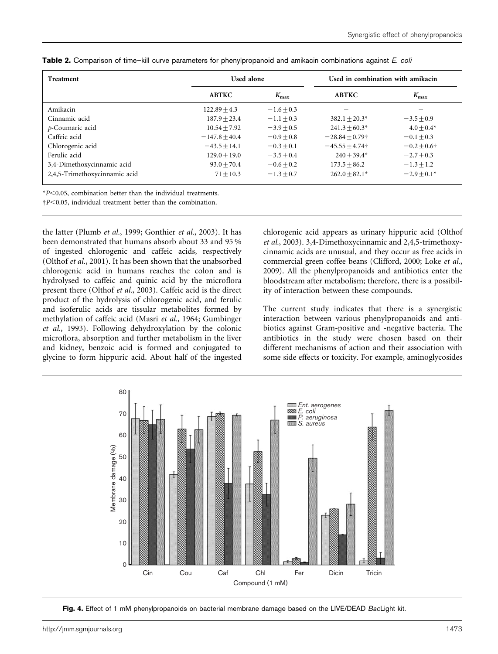| Treatment                     | Used alone      |               | Used in combination with amikacin |                |
|-------------------------------|-----------------|---------------|-----------------------------------|----------------|
|                               | <b>ABTKC</b>    | $K_{\rm max}$ | <b>ABTKC</b>                      | $K_{\rm max}$  |
| Amikacin                      | $122.89 + 4.3$  | $-1.6 + 0.3$  |                                   |                |
| Cinnamic acid                 | $187.9 + 23.4$  | $-1.1 + 0.3$  | $382.1 + 20.3*$                   | $-3.5 + 0.9$   |
| p-Coumaric acid               | $10.54 + 7.92$  | $-3.9 + 0.5$  | $241.3 + 60.3*$                   | $4.0 + 0.4*$   |
| Caffeic acid                  | $-147.8 + 40.4$ | $-0.9 + 0.8$  | $-28.84 + 0.79$ <sup>+</sup>      | $-0.1 + 0.3$   |
| Chlorogenic acid              | $-43.5 + 14.1$  | $-0.3 + 0.1$  | $-45.55 + 4.74$                   | $-0.2 + 0.6$ † |
| Ferulic acid                  | $129.0 + 19.0$  | $-3.5 + 0.4$  | $240 + 39.4*$                     | $-2.7 + 0.3$   |
| 3,4-Dimethoxycinnamic acid    | $93.0 + 70.4$   | $-0.6 + 0.2$  | $173.5 + 86.2$                    | $-1.3 + 1.2$   |
| 2,4,5-Trimethoxycinnamic acid | $71 + 10.3$     | $-1.3 + 0.7$  | $262.0 + 82.1*$                   | $-2.9 + 0.1*$  |

<span id="page-4-0"></span>Table 2. Comparison of time–kill curve parameters for phenylpropanoid and amikacin combinations against E. coli

 $*P<0.05$ , combination better than the individual treatments.

 $\dagger P<0.05$ , individual treatment better than the combination.

the latter [\(Plumb](#page-7-0) et al., 1999; [Gonthier](#page-6-0) et al., 2003). It has been demonstrated that humans absorb about 33 and 95 % of ingested chlorogenic and caffeic acids, respectively ([Olthof](#page-7-0) et al., 2001). It has been shown that the unabsorbed chlorogenic acid in humans reaches the colon and is hydrolysed to caffeic and quinic acid by the microflora present there ([Olthof](#page-7-0) et al., 2003). Caffeic acid is the direct product of the hydrolysis of chlorogenic acid, and ferulic and isoferulic acids are tissular metabolites formed by methylation of caffeic acid (Masri et al.[, 1964](#page-7-0); [Gumbinger](#page-6-0) et al.[, 1993](#page-6-0)). Following dehydroxylation by the colonic microflora, absorption and further metabolism in the liver and kidney, benzoic acid is formed and conjugated to glycine to form hippuric acid. About half of the ingested

chlorogenic acid appears as urinary hippuric acid ([Olthof](#page-7-0) et al.[, 2003](#page-7-0)). 3,4-Dimethoxycinnamic and 2,4,5-trimethoxycinnamic acids are unusual, and they occur as free acids in commercial green coffee beans [\(Clifford, 2000](#page-6-0); Loke [et al.](#page-6-0), [2009\)](#page-6-0). All the phenylpropanoids and antibiotics enter the bloodstream after metabolism; therefore, there is a possibility of interaction between these compounds.

The current study indicates that there is a synergistic interaction between various phenylpropanoids and antibiotics against Gram-positive and -negative bacteria. The antibiotics in the study were chosen based on their different mechanisms of action and their association with some side effects or toxicity. For example, aminoglycosides



Fig. 4. Effect of 1 mM phenylpropanoids on bacterial membrane damage based on the LIVE/DEAD BacLight kit.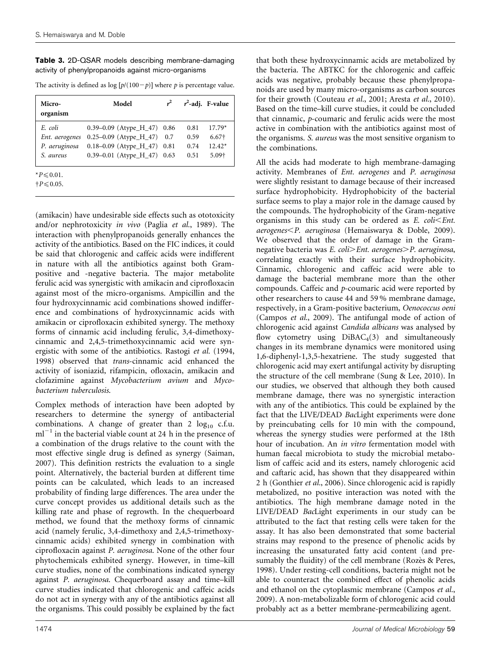<span id="page-5-0"></span>Table 3. 2D-QSAR models describing membrane-damaging activity of phenylpropanoids against micro-organisms

| Micro-<br>organism           | Model                       | $r^2$ |      | $r^2$ -adj. F-value |
|------------------------------|-----------------------------|-------|------|---------------------|
| E. coli                      | 0.39-0.09 (Atype_H_47) 0.86 |       | 0.81 | $17.79*$            |
| Ent. aerogenes               | $0.25 - 0.09$ (Atype_H_47)  | 0.7   | 0.59 | $6.67\dagger$       |
| P. aeruginosa                | 0.18-0.09 (Atype_H_47) 0.81 |       | 0.74 | $12.42*$            |
| S. aureus                    | 0.39-0.01 (Atype_H_47) 0.63 |       | 0.51 | $5.09+$             |
| $*P \le 0.01$ .              |                             |       |      |                     |
| $\dagger P \leqslant 0.05$ . |                             |       |      |                     |

The activity is defined as  $\log [p/(100-p)]$  where p is percentage value.

(amikacin) have undesirable side effects such as ototoxicity and/or nephrotoxicity in vivo (Paglia et al.[, 1989\)](#page-7-0). The interaction with phenylpropanoids generally enhances the activity of the antibiotics. Based on the FIC indices, it could be said that chlorogenic and caffeic acids were indifferent in nature with all the antibiotics against both Grampositive and -negative bacteria. The major metabolite ferulic acid was synergistic with amikacin and ciprofloxacin against most of the micro-organisms. Ampicillin and the four hydroxycinnamic acid combinations showed indifference and combinations of hydroxycinnamic acids with amikacin or ciprofloxacin exhibited synergy. The methoxy forms of cinnamic acid including ferulic, 3,4-dimethoxycinnamic and 2,4,5-trimethoxycinnamic acid were synergistic with some of the antibiotics. [Rastogi](#page-7-0) et al. (1994, [1998](#page-7-0)) observed that trans-cinnamic acid enhanced the activity of isoniazid, rifampicin, ofloxacin, amikacin and clofazimine against Mycobacterium avium and Mycobacterium tuberculosis.

Complex methods of interaction have been adopted by researchers to determine the synergy of antibacterial combinations. A change of greater than 2  $log_{10}$  c.f.u.  $ml^{-1}$  in the bacterial viable count at 24 h in the presence of a combination of the drugs relative to the count with the most effective single drug is defined as synergy [\(Saiman,](#page-7-0) [2007](#page-7-0)). This definition restricts the evaluation to a single point. Alternatively, the bacterial burden at different time points can be calculated, which leads to an increased probability of finding large differences. The area under the curve concept provides us additional details such as the killing rate and phase of regrowth. In the chequerboard method, we found that the methoxy forms of cinnamic acid (namely ferulic, 3,4-dimethoxy and 2,4,5-trimethoxycinnamic acids) exhibited synergy in combination with ciprofloxacin against P. aeruginosa. None of the other four phytochemicals exhibited synergy. However, in time–kill curve studies, none of the combinations indicated synergy against P. aeruginosa. Chequerboard assay and time–kill curve studies indicated that chlorogenic and caffeic acids do not act in synergy with any of the antibiotics against all the organisms. This could possibly be explained by the fact

that both these hydroxycinnamic acids are metabolized by the bacteria. The ABTKC for the chlorogenic and caffeic acids was negative, probably because these phenylpropanoids are used by many micro-organisms as carbon sources for their growth ([Couteau](#page-6-0) et al., 2001; [Aresta](#page-6-0) et al., 2010). Based on the time–kill curve studies, it could be concluded that cinnamic, p-coumaric and ferulic acids were the most active in combination with the antibiotics against most of the organisms. S. aureus was the most sensitive organism to the combinations.

All the acids had moderate to high membrane-damaging activity. Membranes of Ent. aerogenes and P. aeruginosa were slightly resistant to damage because of their increased surface hydrophobicity. Hydrophobicity of the bacterial surface seems to play a major role in the damage caused by the compounds. The hydrophobicity of the Gram-negative organisms in this study can be ordered as  $E$ . coli $\leq$ Ent. aerogenes<P. aeruginosa ([Hemaiswarya & Doble, 2009](#page-6-0)). We observed that the order of damage in the Gramnegative bacteria was  $E.$  coli $>$ Ent. aerogenes $>$ P. aeruginosa, correlating exactly with their surface hydrophobicity. Cinnamic, chlorogenic and caffeic acid were able to damage the bacterial membrane more than the other compounds. Caffeic and p-coumaric acid were reported by other researchers to cause 44 and 59 % membrane damage, respectively, in a Gram-positive bacterium, Oenococcus oeni [\(Campos](#page-6-0) et al., 2009). The antifungal mode of action of chlorogenic acid against Candida albicans was analysed by flow cytometry using  $DiBAC<sub>4</sub>(3)$  and simultaneously changes in its membrane dynamics were monitored using 1,6-diphenyl-1,3,5-hexatriene. The study suggested that chlorogenic acid may exert antifungal activity by disrupting the structure of the cell membrane ([Sung & Lee, 2010](#page-7-0)). In our studies, we observed that although they both caused membrane damage, there was no synergistic interaction with any of the antibiotics. This could be explained by the fact that the LIVE/DEAD BacLight experiments were done by preincubating cells for 10 min with the compound, whereas the synergy studies were performed at the 18th hour of incubation. An in vitro fermentation model with human faecal microbiota to study the microbial metabolism of caffeic acid and its esters, namely chlorogenic acid and caftaric acid, has shown that they disappeared within 2 h ([Gonthier](#page-6-0) et al., 2006). Since chlorogenic acid is rapidly metabolized, no positive interaction was noted with the antibiotics. The high membrane damage noted in the LIVE/DEAD BacLight experiments in our study can be attributed to the fact that resting cells were taken for the assay. It has also been demonstrated that some bacterial strains may respond to the presence of phenolic acids by increasing the unsaturated fatty acid content (and presumably the fluidity) of the cell membrane (Rozès & Peres, [1998](#page-7-0)). Under resting-cell conditions, bacteria might not be able to counteract the combined effect of phenolic acids and ethanol on the cytoplasmic membrane ([Campos](#page-6-0) et al., [2009](#page-6-0)). A non-metabolizable form of chlorogenic acid could probably act as a better membrane-permeabilizing agent.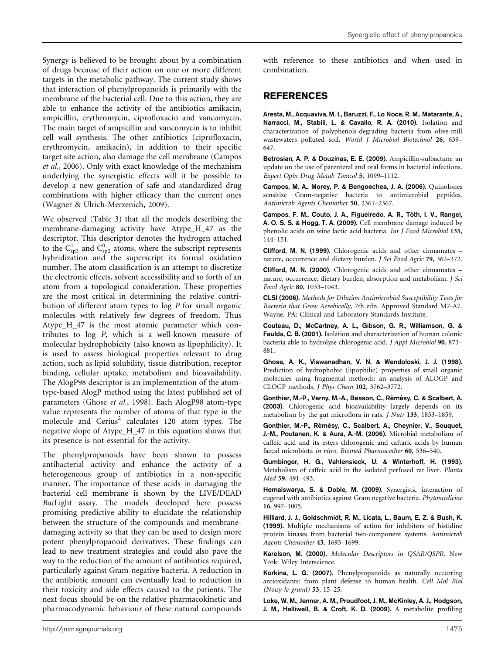<span id="page-6-0"></span>Synergy is believed to be brought about by a combination of drugs because of their action on one or more different targets in the metabolic pathway. The current study shows that interaction of phenylpropanoids is primarily with the membrane of the bacterial cell. Due to this action, they are able to enhance the activity of the antibiotics amikacin, ampicillin, erythromycin, ciprofloxacin and vancomycin. The main target of ampicillin and vancomycin is to inhibit cell wall synthesis. The other antibiotics (ciprofloxacin, erythromycin, amikacin), in addition to their specific target site action, also damage the cell membrane (Campos et al., 2006). Only with exact knowledge of the mechanism underlying the synergistic effects will it be possible to develop a new generation of safe and standardized drug combinations with higher efficacy than the current ones ([Wagner & Ulrich-Merzenich, 2009](#page-7-0)).

We observed [\(Table 3](#page-5-0)) that all the models describing the membrane-damaging activity have Atype\_H\_47 as the descriptor. This descriptor denotes the hydrogen attached to the  $\mathrm{C}_{\mathrm{sp3}}^1$  and  $\mathrm{C}_{\mathrm{sp2}}^0$  atoms, where the subscript represents hybridization and the superscript its formal oxidation number. The atom classification is an attempt to discretize the electronic effects, solvent accessibility and so forth of an atom from a topological consideration. These properties are the most critical in determining the relative contribution of different atom types to log P for small organic molecules with relatively few degrees of freedom. Thus Atype H 47 is the most atomic parameter which contributes to log P, which is a well-known measure of molecular hydrophobicity (also known as lipophilicity). It is used to assess biological properties relevant to drug action, such as lipid solubility, tissue distribution, receptor binding, cellular uptake, metabolism and bioavailability. The AlogP98 descriptor is an implementation of the atomtype-based AlogP method using the latest published set of parameters (Ghose et al., 1998). Each AlogP98 atom-type value represents the number of atoms of that type in the molecule and  $Cerius<sup>2</sup>$  calculates 120 atom types. The negative slope of Atype\_H\_47 in this equation shows that its presence is not essential for the activity.

The phenylpropanoids have been shown to possess antibacterial activity and enhance the activity of a heterogeneous group of antibiotics in a non-specific manner. The importance of these acids in damaging the bacterial cell membrane is shown by the LIVE/DEAD BacLight assay. The models developed here possess promising predictive ability to elucidate the relationship between the structure of the compounds and membranedamaging activity so that they can be used to design more potent phenylpropanoid derivatives. These findings can lead to new treatment strategies and could also pave the way to the reduction of the amount of antibiotics required, particularly against Gram-negative bacteria. A reduction in the antibiotic amount can eventually lead to reduction in their toxicity and side effects caused to the patients. The next focus should be on the relative pharmacokinetic and pharmacodynamic behaviour of these natural compounds with reference to these antibiotics and when used in combination.

## REFERENCES

Aresta, M., Acquaviva, M. I., Baruzzi, F., Lo Noce, R. M., Matarante, A., Narracci, M., Stabili, L. & Cavallo, R. A. (2010). Isolation and characterization of polyphenols-degrading bacteria from olive-mill wastewaters polluted soil. World J Microbiol Biotechnol 26, 639-647.

Betrosian, A. P. & Douzinas, E. E. (2009). Ampicillin-sulbactam: an update on the use of parenteral and oral forms in bacterial infections. Expert Opin Drug Metab Toxicol 5, 1099–1112.

Campos, M. A., Morey, P. & Bengoechea, J. A. (2006). Quinolones sensitize Gram-negative bacteria to antimicrobial peptides. Antimicrob Agents Chemother 50, 2361–2367.

Campos, F. M., Couto, J. A., Figueiredo, A. R., Tóth, I. V., Rangel, A. O. S. S. & Hogg, T. A. (2009). Cell membrane damage induced by phenolic acids on wine lactic acid bacteria. Int J Food Microbiol 135, 144–151.

Clifford, M. N. (1999). Chlorogenic acids and other cinnamates – nature, occurrence and dietary burden. J Sci Food Agric 79, 362–372.

Clifford, M. N. (2000). Chlorogenic acids and other cinnamates – nature, occurrence, dietary burden, absorption and metabolism. J Sci Food Agric 80, 1033–1043.

CLSI (2006). Methods for Dilution Antimicrobial Susceptibility Tests for Bacteria that Grow Aerobically, 7th edn. Approved Standard M7-A7. Wayne, PA: Clinical and Laboratory Standards Institute.

Couteau, D., McCartney, A. L., Gibson, G. R., Williamson, G. & Faulds, C. B. (2001). Isolation and characterization of human colonic bacteria able to hydrolyse chlorogenic acid. J Appl Microbiol 90, 873– 881.

Ghose, A. K., Viswanadhan, V. N. & Wendoloski, J. J. (1998). Prediction of hydrophobic (lipophilic) properties of small organic molecules using fragmental methods: an analysis of ALOGP and CLOGP methods. J Phys Chem 102, 3762–3772.

Gonthier, M.-P., Verny, M.-A., Besson, C., Rémésy, C. & Scalbert, A. (2003). Chlorogenic acid bioavailability largely depends on its metabolism by the gut microflora in rats. J Nutr 133, 1853–1859.

Gonthier, M.-P., Rémésy, C., Scalbert, A., Cheynier, V., Souquet, J.-M., Poutanen, K. & Aura, A.-M. (2006). Microbial metabolism of caffeic acid and its esters chlorogenic and caftaric acids by human faecal microbiota in vitro. Biomed Pharmacother 60, 536–540.

Gumbinger, H. G., Vahlensieck, U. & Winterhoff, H. (1993). Metabolism of caffeic acid in the isolated perfused rat liver. Planta Med 59, 491–493.

Hemaiswarya, S. & Doble, M. (2009). Synergistic interaction of eugenol with antibiotics against Gram negative bacteria. Phytomedicine 16, 997–1005.

Hilliard, J. J., Goldschmidt, R. M., Licata, L., Baum, E. Z. & Bush, K. (1999). Multiple mechanisms of action for inhibitors of histidine protein kinases from bacterial two-component systems. Antimicrob Agents Chemother 43, 1693–1699.

Karelson, M. (2000). Molecular Descriptors in QSAR/QSPR. New York: Wiley Interscience.

Korkina, L. G. (2007). Phenylpropanoids as naturally occurring antioxidants: from plant defense to human health. Cell Mol Biol (Noisy-le-grand) 53, 15–25.

Loke, W. M., Jenner, A. M., Proudfoot, J. M., McKinley, A. J., Hodgson, J. M., Halliwell, B. & Croft, K. D. (2009). A metabolite profiling